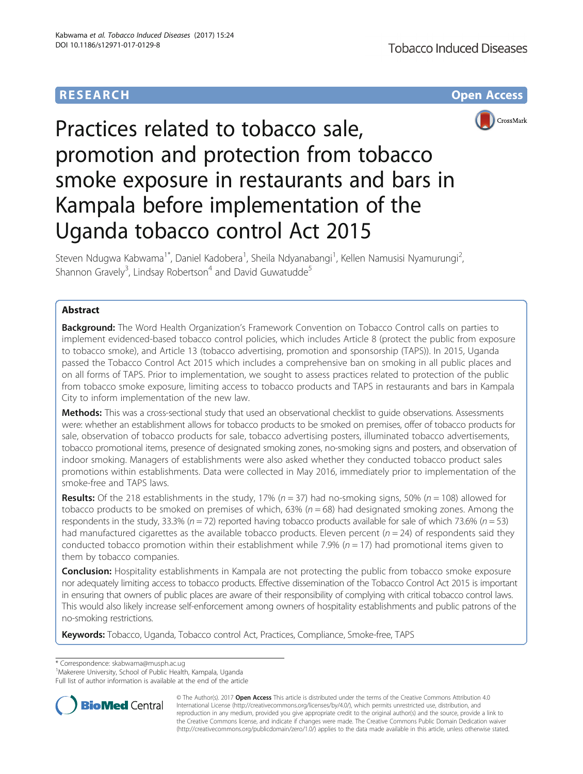

# Practices related to tobacco sale, promotion and protection from tobacco smoke exposure in restaurants and bars in Kampala before implementation of the Uganda tobacco control Act 2015

Steven Ndugwa Kabwama<sup>1\*</sup>, Daniel Kadobera<sup>1</sup>, Sheila Ndyanabangi<sup>1</sup>, Kellen Namusisi Nyamurungi<sup>2</sup> , Shannon Gravely<sup>3</sup>, Lindsay Robertson<sup>4</sup> and David Guwatudde<sup>5</sup>

# Abstract

**Background:** The Word Health Organization's Framework Convention on Tobacco Control calls on parties to implement evidenced-based tobacco control policies, which includes Article 8 (protect the public from exposure to tobacco smoke), and Article 13 (tobacco advertising, promotion and sponsorship (TAPS)). In 2015, Uganda passed the Tobacco Control Act 2015 which includes a comprehensive ban on smoking in all public places and on all forms of TAPS. Prior to implementation, we sought to assess practices related to protection of the public from tobacco smoke exposure, limiting access to tobacco products and TAPS in restaurants and bars in Kampala City to inform implementation of the new law.

Methods: This was a cross-sectional study that used an observational checklist to quide observations. Assessments were: whether an establishment allows for tobacco products to be smoked on premises, offer of tobacco products for sale, observation of tobacco products for sale, tobacco advertising posters, illuminated tobacco advertisements, tobacco promotional items, presence of designated smoking zones, no-smoking signs and posters, and observation of indoor smoking. Managers of establishments were also asked whether they conducted tobacco product sales promotions within establishments. Data were collected in May 2016, immediately prior to implementation of the smoke-free and TAPS laws.

**Results:** Of the 218 establishments in the study, 17% ( $n = 37$ ) had no-smoking signs, 50% ( $n = 108$ ) allowed for tobacco products to be smoked on premises of which,  $63\%$  ( $n = 68$ ) had designated smoking zones. Among the respondents in the study, 33.3% ( $n = 72$ ) reported having tobacco products available for sale of which 73.6% ( $n = 53$ ) had manufactured cigarettes as the available tobacco products. Eleven percent ( $n = 24$ ) of respondents said they conducted tobacco promotion within their establishment while 7.9% ( $n = 17$ ) had promotional items given to them by tobacco companies.

**Conclusion:** Hospitality establishments in Kampala are not protecting the public from tobacco smoke exposure nor adequately limiting access to tobacco products. Effective dissemination of the Tobacco Control Act 2015 is important in ensuring that owners of public places are aware of their responsibility of complying with critical tobacco control laws. This would also likely increase self-enforcement among owners of hospitality establishments and public patrons of the no-smoking restrictions.

Keywords: Tobacco, Uganda, Tobacco control Act, Practices, Compliance, Smoke-free, TAPS

\* Correspondence: [skabwama@musph.ac.ug](mailto:skabwama@musph.ac.ug) <sup>1</sup>

<sup>1</sup> Makerere University, School of Public Health, Kampala, Uganda

Full list of author information is available at the end of the article



© The Author(s). 2017 **Open Access** This article is distributed under the terms of the Creative Commons Attribution 4.0 International License [\(http://creativecommons.org/licenses/by/4.0/](http://creativecommons.org/licenses/by/4.0/)), which permits unrestricted use, distribution, and reproduction in any medium, provided you give appropriate credit to the original author(s) and the source, provide a link to the Creative Commons license, and indicate if changes were made. The Creative Commons Public Domain Dedication waiver [\(http://creativecommons.org/publicdomain/zero/1.0/](http://creativecommons.org/publicdomain/zero/1.0/)) applies to the data made available in this article, unless otherwise stated.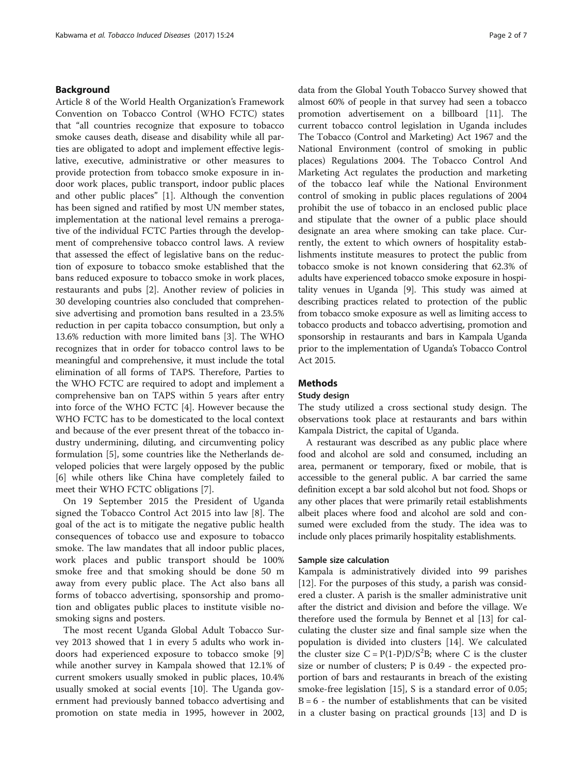# Background

Article 8 of the World Health Organization's Framework Convention on Tobacco Control (WHO FCTC) states that "all countries recognize that exposure to tobacco smoke causes death, disease and disability while all parties are obligated to adopt and implement effective legislative, executive, administrative or other measures to provide protection from tobacco smoke exposure in indoor work places, public transport, indoor public places and other public places" [\[1\]](#page-5-0). Although the convention has been signed and ratified by most UN member states, implementation at the national level remains a prerogative of the individual FCTC Parties through the development of comprehensive tobacco control laws. A review that assessed the effect of legislative bans on the reduction of exposure to tobacco smoke established that the bans reduced exposure to tobacco smoke in work places, restaurants and pubs [\[2](#page-5-0)]. Another review of policies in 30 developing countries also concluded that comprehensive advertising and promotion bans resulted in a 23.5% reduction in per capita tobacco consumption, but only a 13.6% reduction with more limited bans [[3\]](#page-5-0). The WHO recognizes that in order for tobacco control laws to be meaningful and comprehensive, it must include the total elimination of all forms of TAPS. Therefore, Parties to the WHO FCTC are required to adopt and implement a comprehensive ban on TAPS within 5 years after entry into force of the WHO FCTC [\[4](#page-5-0)]. However because the WHO FCTC has to be domesticated to the local context and because of the ever present threat of the tobacco industry undermining, diluting, and circumventing policy formulation [\[5](#page-5-0)], some countries like the Netherlands developed policies that were largely opposed by the public [[6\]](#page-5-0) while others like China have completely failed to meet their WHO FCTC obligations [\[7](#page-5-0)].

On 19 September 2015 the President of Uganda signed the Tobacco Control Act 2015 into law [\[8](#page-5-0)]. The goal of the act is to mitigate the negative public health consequences of tobacco use and exposure to tobacco smoke. The law mandates that all indoor public places, work places and public transport should be 100% smoke free and that smoking should be done 50 m away from every public place. The Act also bans all forms of tobacco advertising, sponsorship and promotion and obligates public places to institute visible nosmoking signs and posters.

The most recent Uganda Global Adult Tobacco Survey 2013 showed that 1 in every 5 adults who work indoors had experienced exposure to tobacco smoke [\[9](#page-5-0)] while another survey in Kampala showed that 12.1% of current smokers usually smoked in public places, 10.4% usually smoked at social events [\[10](#page-5-0)]. The Uganda government had previously banned tobacco advertising and promotion on state media in 1995, however in 2002, data from the Global Youth Tobacco Survey showed that almost 60% of people in that survey had seen a tobacco promotion advertisement on a billboard [\[11](#page-5-0)]. The current tobacco control legislation in Uganda includes The Tobacco (Control and Marketing) Act 1967 and the National Environment (control of smoking in public places) Regulations 2004. The Tobacco Control And Marketing Act regulates the production and marketing of the tobacco leaf while the National Environment control of smoking in public places regulations of 2004 prohibit the use of tobacco in an enclosed public place and stipulate that the owner of a public place should designate an area where smoking can take place. Currently, the extent to which owners of hospitality establishments institute measures to protect the public from tobacco smoke is not known considering that 62.3% of adults have experienced tobacco smoke exposure in hospitality venues in Uganda [\[9](#page-5-0)]. This study was aimed at describing practices related to protection of the public from tobacco smoke exposure as well as limiting access to tobacco products and tobacco advertising, promotion and sponsorship in restaurants and bars in Kampala Uganda prior to the implementation of Uganda's Tobacco Control Act 2015.

# Methods

# Study design

The study utilized a cross sectional study design. The observations took place at restaurants and bars within Kampala District, the capital of Uganda.

A restaurant was described as any public place where food and alcohol are sold and consumed, including an area, permanent or temporary, fixed or mobile, that is accessible to the general public. A bar carried the same definition except a bar sold alcohol but not food. Shops or any other places that were primarily retail establishments albeit places where food and alcohol are sold and consumed were excluded from the study. The idea was to include only places primarily hospitality establishments.

#### Sample size calculation

Kampala is administratively divided into 99 parishes [[12\]](#page-5-0). For the purposes of this study, a parish was considered a cluster. A parish is the smaller administrative unit after the district and division and before the village. We therefore used the formula by Bennet et al [\[13](#page-6-0)] for calculating the cluster size and final sample size when the population is divided into clusters [[14\]](#page-6-0). We calculated the cluster size  $C = P(1-P)D/S^2B$ ; where C is the cluster size or number of clusters; P is 0.49 - the expected proportion of bars and restaurants in breach of the existing smoke-free legislation [\[15\]](#page-6-0), S is a standard error of 0.05;  $B = 6$  - the number of establishments that can be visited in a cluster basing on practical grounds [[13](#page-6-0)] and D is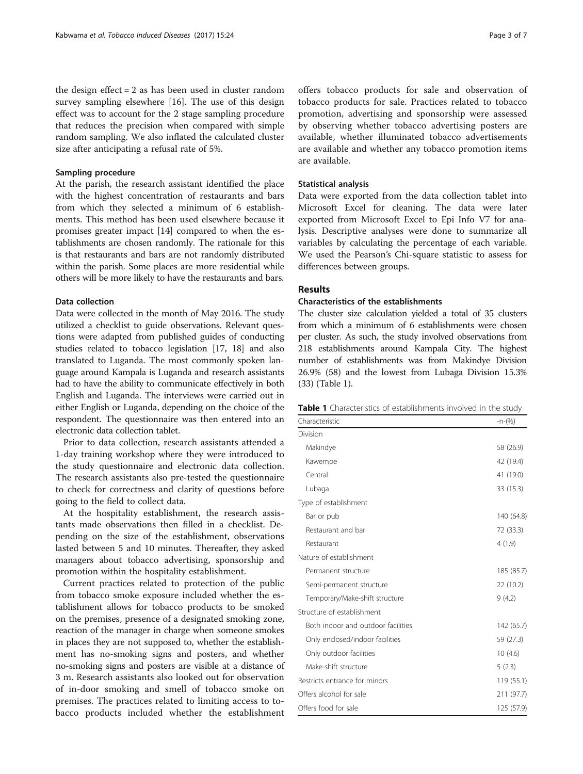the design effect  $= 2$  as has been used in cluster random survey sampling elsewhere [[16](#page-6-0)]. The use of this design effect was to account for the 2 stage sampling procedure that reduces the precision when compared with simple random sampling. We also inflated the calculated cluster size after anticipating a refusal rate of 5%.

#### Sampling procedure

At the parish, the research assistant identified the place with the highest concentration of restaurants and bars from which they selected a minimum of 6 establishments. This method has been used elsewhere because it promises greater impact [[14\]](#page-6-0) compared to when the establishments are chosen randomly. The rationale for this is that restaurants and bars are not randomly distributed within the parish. Some places are more residential while others will be more likely to have the restaurants and bars.

#### Data collection

Data were collected in the month of May 2016. The study utilized a checklist to guide observations. Relevant questions were adapted from published guides of conducting studies related to tobacco legislation [\[17, 18\]](#page-6-0) and also translated to Luganda. The most commonly spoken language around Kampala is Luganda and research assistants had to have the ability to communicate effectively in both English and Luganda. The interviews were carried out in either English or Luganda, depending on the choice of the respondent. The questionnaire was then entered into an electronic data collection tablet.

Prior to data collection, research assistants attended a 1-day training workshop where they were introduced to the study questionnaire and electronic data collection. The research assistants also pre-tested the questionnaire to check for correctness and clarity of questions before going to the field to collect data.

At the hospitality establishment, the research assistants made observations then filled in a checklist. Depending on the size of the establishment, observations lasted between 5 and 10 minutes. Thereafter, they asked managers about tobacco advertising, sponsorship and promotion within the hospitality establishment.

Current practices related to protection of the public from tobacco smoke exposure included whether the establishment allows for tobacco products to be smoked on the premises, presence of a designated smoking zone, reaction of the manager in charge when someone smokes in places they are not supposed to, whether the establishment has no-smoking signs and posters, and whether no-smoking signs and posters are visible at a distance of 3 m. Research assistants also looked out for observation of in-door smoking and smell of tobacco smoke on premises. The practices related to limiting access to tobacco products included whether the establishment

offers tobacco products for sale and observation of tobacco products for sale. Practices related to tobacco promotion, advertising and sponsorship were assessed by observing whether tobacco advertising posters are available, whether illuminated tobacco advertisements are available and whether any tobacco promotion items are available.

### Statistical analysis

Data were exported from the data collection tablet into Microsoft Excel for cleaning. The data were later exported from Microsoft Excel to Epi Info V7 for analysis. Descriptive analyses were done to summarize all variables by calculating the percentage of each variable. We used the Pearson's Chi-square statistic to assess for differences between groups.

## Results

#### Characteristics of the establishments

The cluster size calculation yielded a total of 35 clusters from which a minimum of 6 establishments were chosen per cluster. As such, the study involved observations from 218 establishments around Kampala City. The highest number of establishments was from Makindye Division 26.9% (58) and the lowest from Lubaga Division 15.3% (33) (Table 1).

| <b>Table 1</b> Characteristics of establishments involved in the study |
|------------------------------------------------------------------------|
|------------------------------------------------------------------------|

| Characteristic                     | $-n-(\%)$  |
|------------------------------------|------------|
| Division                           |            |
| Makindye                           | 58 (26.9)  |
| Kawempe                            | 42 (19.4)  |
| Central                            | 41 (19.0)  |
| Lubaga                             | 33 (15.3)  |
| Type of establishment              |            |
| Bar or pub                         | 140 (64.8) |
| Restaurant and bar                 | 72 (33.3)  |
| Restaurant                         | 4(1.9)     |
| Nature of establishment            |            |
| Permanent structure                | 185 (85.7) |
| Semi-permanent structure           | 22 (10.2)  |
| Temporary/Make-shift structure     | 9(4.2)     |
| Structure of establishment         |            |
| Both indoor and outdoor facilities | 142 (65.7) |
| Only enclosed/indoor facilities    | 59 (27.3)  |
| Only outdoor facilities            | 10(4.6)    |
| Make-shift structure               | 5(2.3)     |
| Restricts entrance for minors      | 119 (55.1) |
| Offers alcohol for sale            | 211 (97.7) |
| Offers food for sale               | 125 (57.9) |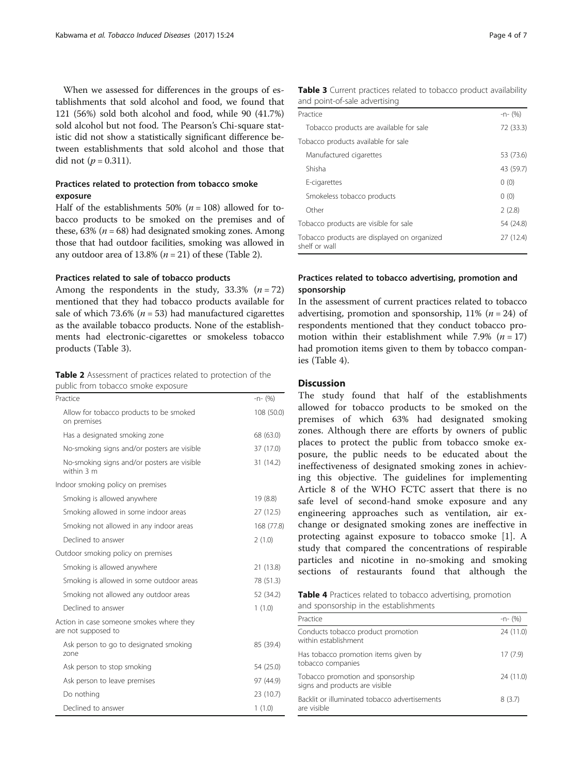When we assessed for differences in the groups of establishments that sold alcohol and food, we found that 121 (56%) sold both alcohol and food, while 90 (41.7%) sold alcohol but not food. The Pearson's Chi-square statistic did not show a statistically significant difference between establishments that sold alcohol and those that did not ( $p = 0.311$ ).

# Practices related to protection from tobacco smoke exposure

Half of the establishments 50% ( $n = 108$ ) allowed for tobacco products to be smoked on the premises and of these, 63% ( $n = 68$ ) had designated smoking zones. Among those that had outdoor facilities, smoking was allowed in any outdoor area of 13.8% ( $n = 21$ ) of these (Table 2).

# Practices related to sale of tobacco products

Among the respondents in the study,  $33.3\%$  ( $n = 72$ ) mentioned that they had tobacco products available for sale of which 73.6% ( $n = 53$ ) had manufactured cigarettes as the available tobacco products. None of the establishments had electronic-cigarettes or smokeless tobacco products (Table 3).

Table 2 Assessment of practices related to protection of the public from tobacco smoke exposure

| Practice                                                        | -n- (%)    |
|-----------------------------------------------------------------|------------|
| Allow for tobacco products to be smoked<br>on premises          | 108 (50.0) |
| Has a designated smoking zone                                   | 68 (63.0)  |
| No-smoking signs and/or posters are visible                     | 37 (17.0)  |
| No-smoking signs and/or posters are visible<br>within 3 m       | 31(14.2)   |
| Indoor smoking policy on premises                               |            |
| Smoking is allowed anywhere                                     | 19(8.8)    |
| Smoking allowed in some indoor areas                            | 27 (12.5)  |
| Smoking not allowed in any indoor areas                         | 168 (77.8) |
| Declined to answer                                              | 2(1.0)     |
| Outdoor smoking policy on premises                              |            |
| Smoking is allowed anywhere                                     | 21 (13.8)  |
| Smoking is allowed in some outdoor areas                        | 78 (51.3)  |
| Smoking not allowed any outdoor areas                           | 52 (34.2)  |
| Declined to answer                                              | 1(1.0)     |
| Action in case someone smokes where they<br>are not supposed to |            |
| Ask person to go to designated smoking<br>zone                  | 85 (39.4)  |
| Ask person to stop smoking                                      | 54 (25.0)  |
| Ask person to leave premises                                    | 97 (44.9)  |
| Do nothing                                                      | 23 (10.7)  |
| Declined to answer                                              | 1(1.0)     |

Table 3 Current practices related to tobacco product availability and point-of-sale advertising

| Practice                                                     | $-n-(\%)$ |
|--------------------------------------------------------------|-----------|
| Tobacco products are available for sale                      | 72 (33.3) |
| Tobacco products available for sale                          |           |
| Manufactured cigarettes                                      | 53 (73.6) |
| Shisha                                                       | 43 (59.7) |
| E-cigarettes                                                 | 0(0)      |
| Smokeless tobacco products                                   | 0(0)      |
| Other                                                        | 2(2.8)    |
| Tobacco products are visible for sale                        | 54 (24.8) |
| Tobacco products are displayed on organized<br>shelf or wall | 27 (12.4) |

# Practices related to tobacco advertising, promotion and sponsorship

In the assessment of current practices related to tobacco advertising, promotion and sponsorship,  $11\%$  ( $n = 24$ ) of respondents mentioned that they conduct tobacco promotion within their establishment while 7.9% ( $n = 17$ ) had promotion items given to them by tobacco companies (Table 4).

# Discussion

The study found that half of the establishments allowed for tobacco products to be smoked on the premises of which 63% had designated smoking zones. Although there are efforts by owners of public places to protect the public from tobacco smoke exposure, the public needs to be educated about the ineffectiveness of designated smoking zones in achieving this objective. The guidelines for implementing Article 8 of the WHO FCTC assert that there is no safe level of second-hand smoke exposure and any engineering approaches such as ventilation, air exchange or designated smoking zones are ineffective in protecting against exposure to tobacco smoke [[1\]](#page-5-0). A study that compared the concentrations of respirable particles and nicotine in no-smoking and smoking sections of restaurants found that although the

Table 4 Practices related to tobacco advertising, promotion and sponsorship in the establishments

| Practice                                                            | -n- (%)   |
|---------------------------------------------------------------------|-----------|
| Conducts tobacco product promotion<br>within establishment          | 24 (11.0) |
| Has tobacco promotion items given by<br>tobacco companies           | 17 (7.9)  |
| Tobacco promotion and sponsorship<br>signs and products are visible | 24 (11.0) |
| Backlit or illuminated tobacco advertisements<br>are visible        | 8(3.7)    |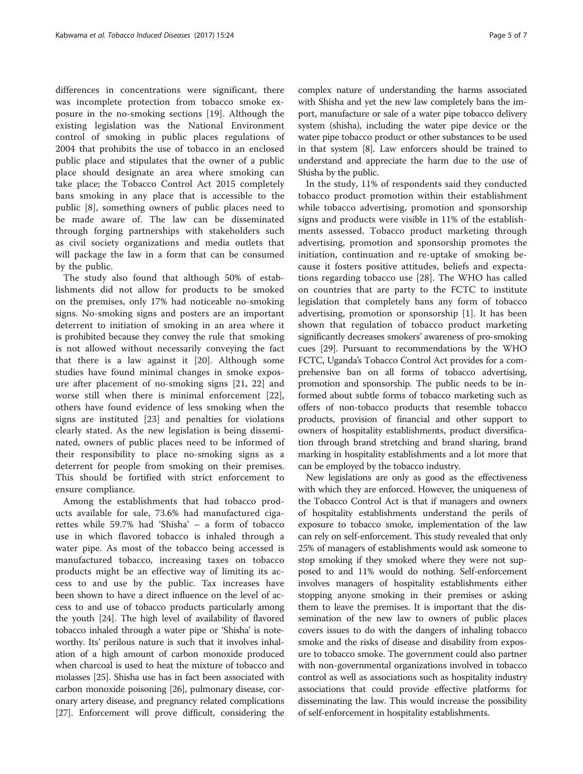differences in concentrations were significant, there was incomplete protection from tobacco smoke exposure in the no-smoking sections [\[19](#page-6-0)]. Although the existing legislation was the National Environment control of smoking in public places regulations of 2004 that prohibits the use of tobacco in an enclosed public place and stipulates that the owner of a public place should designate an area where smoking can take place; the Tobacco Control Act 2015 completely bans smoking in any place that is accessible to the public [[8\]](#page-5-0), something owners of public places need to be made aware of. The law can be disseminated through forging partnerships with stakeholders such as civil society organizations and media outlets that will package the law in a form that can be consumed by the public.

The study also found that although 50% of establishments did not allow for products to be smoked on the premises, only 17% had noticeable no-smoking signs. No-smoking signs and posters are an important deterrent to initiation of smoking in an area where it is prohibited because they convey the rule that smoking is not allowed without necessarily conveying the fact that there is a law against it [[20\]](#page-6-0). Although some studies have found minimal changes in smoke exposure after placement of no-smoking signs [[21, 22\]](#page-6-0) and worse still when there is minimal enforcement [\[22](#page-6-0)], others have found evidence of less smoking when the signs are instituted [\[23](#page-6-0)] and penalties for violations clearly stated. As the new legislation is being disseminated, owners of public places need to be informed of their responsibility to place no-smoking signs as a deterrent for people from smoking on their premises. This should be fortified with strict enforcement to ensure compliance.

Among the establishments that had tobacco products available for sale, 73.6% had manufactured cigarettes while 59.7% had 'Shisha' – a form of tobacco use in which flavored tobacco is inhaled through a water pipe. As most of the tobacco being accessed is manufactured tobacco, increasing taxes on tobacco products might be an effective way of limiting its access to and use by the public. Tax increases have been shown to have a direct influence on the level of access to and use of tobacco products particularly among the youth [\[24\]](#page-6-0). The high level of availability of flavored tobacco inhaled through a water pipe or 'Shisha' is noteworthy. Its' perilous nature is such that it involves inhalation of a high amount of carbon monoxide produced when charcoal is used to heat the mixture of tobacco and molasses [\[25](#page-6-0)]. Shisha use has in fact been associated with carbon monoxide poisoning [\[26\]](#page-6-0), pulmonary disease, coronary artery disease, and pregnancy related complications [[27](#page-6-0)]. Enforcement will prove difficult, considering the complex nature of understanding the harms associated with Shisha and yet the new law completely bans the import, manufacture or sale of a water pipe tobacco delivery system (shisha), including the water pipe device or the water pipe tobacco product or other substances to be used in that system [\[8](#page-5-0)]. Law enforcers should be trained to understand and appreciate the harm due to the use of Shisha by the public.

In the study, 11% of respondents said they conducted tobacco product promotion within their establishment while tobacco advertising, promotion and sponsorship signs and products were visible in 11% of the establishments assessed. Tobacco product marketing through advertising, promotion and sponsorship promotes the initiation, continuation and re-uptake of smoking because it fosters positive attitudes, beliefs and expectations regarding tobacco use [[28\]](#page-6-0). The WHO has called on countries that are party to the FCTC to institute legislation that completely bans any form of tobacco advertising, promotion or sponsorship [[1\]](#page-5-0). It has been shown that regulation of tobacco product marketing significantly decreases smokers' awareness of pro-smoking cues [\[29](#page-6-0)]. Pursuant to recommendations by the WHO FCTC, Uganda's Tobacco Control Act provides for a comprehensive ban on all forms of tobacco advertising, promotion and sponsorship. The public needs to be informed about subtle forms of tobacco marketing such as offers of non-tobacco products that resemble tobacco products, provision of financial and other support to owners of hospitality establishments, product diversification through brand stretching and brand sharing, brand marking in hospitality establishments and a lot more that can be employed by the tobacco industry.

New legislations are only as good as the effectiveness with which they are enforced. However, the uniqueness of the Tobacco Control Act is that if managers and owners of hospitality establishments understand the perils of exposure to tobacco smoke, implementation of the law can rely on self-enforcement. This study revealed that only 25% of managers of establishments would ask someone to stop smoking if they smoked where they were not supposed to and 11% would do nothing. Self-enforcement involves managers of hospitality establishments either stopping anyone smoking in their premises or asking them to leave the premises. It is important that the dissemination of the new law to owners of public places covers issues to do with the dangers of inhaling tobacco smoke and the risks of disease and disability from exposure to tobacco smoke. The government could also partner with non-governmental organizations involved in tobacco control as well as associations such as hospitality industry associations that could provide effective platforms for disseminating the law. This would increase the possibility of self-enforcement in hospitality establishments.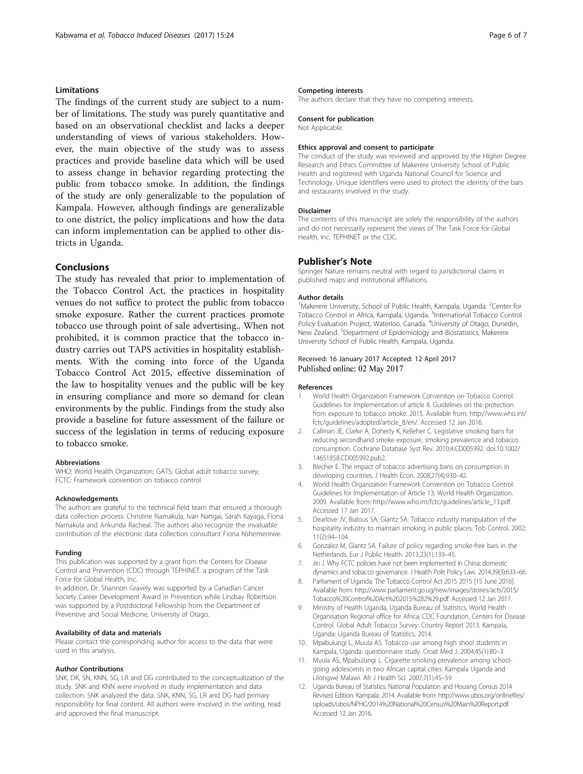## <span id="page-5-0"></span>Limitations

The findings of the current study are subject to a number of limitations. The study was purely quantitative and based on an observational checklist and lacks a deeper understanding of views of various stakeholders. However, the main objective of the study was to assess practices and provide baseline data which will be used to assess change in behavior regarding protecting the public from tobacco smoke. In addition, the findings of the study are only generalizable to the population of Kampala. However, although findings are generalizable to one district, the policy implications and how the data can inform implementation can be applied to other districts in Uganda.

## Conclusions

The study has revealed that prior to implementation of the Tobacco Control Act, the practices in hospitality venues do not suffice to protect the public from tobacco smoke exposure. Rather the current practices promote tobacco use through point of sale advertising.. When not prohibited, it is common practice that the tobacco industry carries out TAPS activities in hospitality establishments. With the coming into force of the Uganda Tobacco Control Act 2015, effective dissemination of the law to hospitality venues and the public will be key in ensuring compliance and more so demand for clean environments by the public. Findings from the study also provide a baseline for future assessment of the failure or success of the legislation in terms of reducing exposure to tobacco smoke.

### Abbreviations

WHO: World Health Organization; GATS: Global adult tobacco survey; FCTC: Framework convention on tobacco control

#### Acknowledgements

The authors are grateful to the technical field team that ensured a thorough data collection process: Christine Namakula, Ivan Nangai, Sarah Kayaga, Fiona Namakula and Ankunda Racheal. The authors also recognize the invaluable contribution of the electronic data collection consultant Fiona Nshemerirwe.

#### Funding

This publication was supported by a grant from the Centers for Disease Control and Prevention (CDC) through TEPHINET, a program of the Task Force for Global Health, Inc.

In addition, Dr. Shannon Gravely was supported by a Canadian Cancer Society Career Development Award in Prevention while Lindsay Robertson was supported by a Postdoctoral Fellowship from the Department of Preventive and Social Medicine, University of Otago.

#### Availability of data and materials

Please contact the corresponding author for access to the data that were used in this analysis.

#### Author Contributions

SNK, DK, SN, KNN, SG, LR and DG contributed to the conceptualization of the study. SNK and KNN were involved in study implementation and data collection. SNK analyzed the data. SNK, KNN, SG, LR and DG had primary responsibility for final content. All authors were involved in the writing, read and approved the final manuscript.

#### Competing interests

The authors declare that they have no competing interests.

#### Consent for publication

Not Applicable.

#### Ethics approval and consent to participate

The conduct of the study was reviewed and approved by the Higher Degree Research and Ethics Committee of Makerere University School of Public Health and registered with Uganda National Council for Science and Technology. Unique identifiers were used to protect the identity of the bars and restaurants involved in the study.

#### Disclaimer

The contents of this manuscript are solely the responsibility of the authors and do not necessarily represent the views of The Task Force for Global Health, Inc. TEPHINET or the CDC.

# Publisher's Note

Springer Nature remains neutral with regard to jurisdictional claims in published maps and institutional affiliations.

#### Author details

<sup>1</sup>Makerere University, School of Public Health, Kampala, Uganda. <sup>2</sup>Center for Tobacco Control in Africa, Kampala, Uganda. <sup>3</sup>International Tobacco Control Policy Evaluation Project, Waterloo, Canada. <sup>4</sup>University of Otago, Dunedin, New Zealand. <sup>5</sup>Department of Epidemiology and Biostatistics, Makerere University School of Public Health, Kampala, Uganda.

## Received: 16 January 2017 Accepted: 12 April 2017 Published online: 02 May 2017

#### References

- 1. World Health Organization Framework Convention on Tobacco Control. Guidelines for implementation of article 8. Guidelines on the protection from exposure to tobacco smoke. 2015. Available from: [http://www.who.int/](http://www.who.int/fctc/guidelines/adopted/article_8/en/) [fctc/guidelines/adopted/article\\_8/en/.](http://www.who.int/fctc/guidelines/adopted/article_8/en/) Accessed 12 Jan 2016.
- 2. Callinan JE, Clarke A, Doherty K, Kelleher C. Legislative smoking bans for reducing secondhand smoke exposure, smoking prevalence and tobacco consumption. Cochrane Database Syst Rev. 2010;4:CD005992. doi[:10.1002/](http://dx.doi.org/10.1002/14651858.CD005992.pub2) [14651858.CD005992.pub2](http://dx.doi.org/10.1002/14651858.CD005992.pub2).
- 3. Blecher E. The impact of tobacco advertising bans on consumption in developing countries. J Health Econ. 2008;27(4):930–42.
- 4. World Health Organization Framework Convention on Tobacco Control: Guidelines for Implementation of Article 13: World Health Organization. 2009. Available from: [http://www.who.int/fctc/guidelines/article\\_13.pdf.](http://www.who.int/fctc/guidelines/article_13.pdf) Accessed 17 Jan 2017.
- 5. Dearlove JV, Bialous SA, Glantz SA. Tobacco industry manipulation of the hospitality industry to maintain smoking in public places. Tob Control. 2002; 11(2):94–104.
- 6. Gonzalez M, Glantz SA. Failure of policy regarding smoke-free bars in the Netherlands. Eur J Public Health. 2013;23(1):139–45.
- 7. Jin J. Why FCTC policies have not been implemented in China: domestic dynamics and tobacco governance. J Health Polit Policy Law. 2014;39(3):633–66.
- 8. Parliament of Uganda. The Tobacco Control Act 2015 2015 [15 June 2016]. Available from: [http://www.parliament.go.ug/new/images/stories/acts/2015/](http://www.parliament.go.ug/new/images/stories/acts/2015/Tobacco%20Control%20Act%202015%282%29.pdf) [Tobacco%20Control%20Act%202015%282%29.pdf.](http://www.parliament.go.ug/new/images/stories/acts/2015/Tobacco%20Control%20Act%202015%282%29.pdf) Accessed 12 Jan 2017.
- 9. Ministry of Health Uganda, Uganda Bureau of Statistics, World Health Organisation Regional office for Africa, CDC Foundation, Centers for Disease Control. Global Adult Tobacco Survey: Country Report 2013. Kampala, Uganda: Uganda Bureau of Statistics; 2014.
- 10. Mpabulungi L, Muula AS. Tobacco use among high shool students in Kampala, Uganda: questionnaire study. Croat Med J. 2004;45(1):80–3.
- 11. Muula AS, Mpabulungi L. Cigarette smoking prevalence among schoolgoing adolescents in two African capital cities: Kampala Uganda and Lilongwe Malawi. Afr J Health Sci. 2007;7(1):45–59
- 12. Uganda Bureau of Statistics. National Population and Housing Census 2014 Revised Edition. Kampala: 2014. Available from: [http://www.ubos.org/onlinefiles/](http://www.ubos.org/onlinefiles/uploads/ubos/NPHC/2014%20National%20Census%20Main%20Report.pdf) [uploads/ubos/NPHC/2014%20National%20Census%20Main%20Report.pdf.](http://www.ubos.org/onlinefiles/uploads/ubos/NPHC/2014%20National%20Census%20Main%20Report.pdf) Accessed 12 Jan 2016.